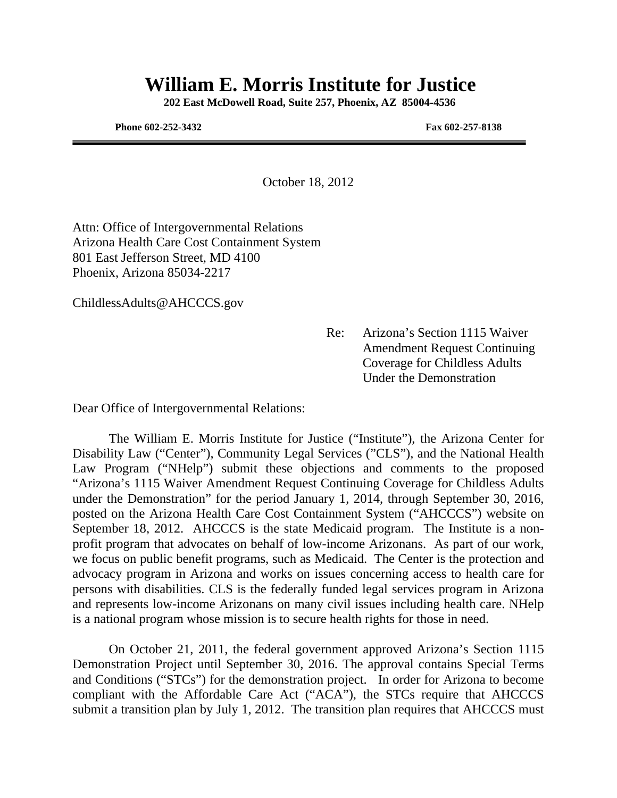# **William E. Morris Institute for Justice**

 **202 East McDowell Road, Suite 257, Phoenix, AZ 85004-4536** 

**Phone 602-252-3432 Fax 602-257-8138** 

October 18, 2012

Attn: Office of Intergovernmental Relations Arizona Health Care Cost Containment System 801 East Jefferson Street, MD 4100 Phoenix, Arizona 85034-2217

ChildlessAdults@AHCCCS.gov

 Re: Arizona's Section 1115 Waiver Amendment Request Continuing Coverage for Childless Adults Under the Demonstration

Dear Office of Intergovernmental Relations:

 The William E. Morris Institute for Justice ("Institute"), the Arizona Center for Disability Law ("Center"), Community Legal Services ("CLS"), and the National Health Law Program ("NHelp") submit these objections and comments to the proposed "Arizona's 1115 Waiver Amendment Request Continuing Coverage for Childless Adults under the Demonstration" for the period January 1, 2014, through September 30, 2016, posted on the Arizona Health Care Cost Containment System ("AHCCCS") website on September 18, 2012. AHCCCS is the state Medicaid program. The Institute is a nonprofit program that advocates on behalf of low-income Arizonans. As part of our work, we focus on public benefit programs, such as Medicaid. The Center is the protection and advocacy program in Arizona and works on issues concerning access to health care for persons with disabilities. CLS is the federally funded legal services program in Arizona and represents low-income Arizonans on many civil issues including health care. NHelp is a national program whose mission is to secure health rights for those in need.

 On October 21, 2011, the federal government approved Arizona's Section 1115 Demonstration Project until September 30, 2016. The approval contains Special Terms and Conditions ("STCs") for the demonstration project. In order for Arizona to become compliant with the Affordable Care Act ("ACA"), the STCs require that AHCCCS submit a transition plan by July 1, 2012. The transition plan requires that AHCCCS must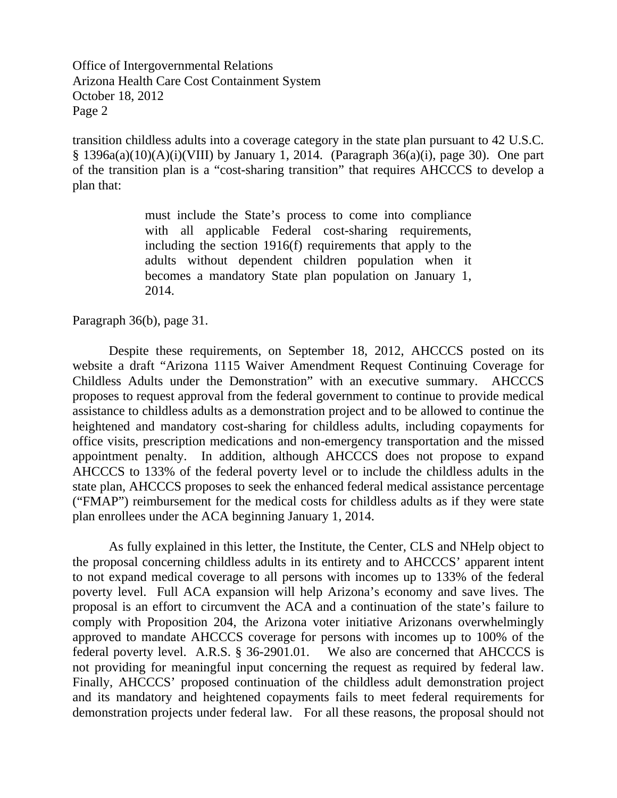transition childless adults into a coverage category in the state plan pursuant to 42 U.S.C.  $§$  1396a(a)(10)(A)(i)(VIII) by January 1, 2014. (Paragraph 36(a)(i), page 30). One part of the transition plan is a "cost-sharing transition" that requires AHCCCS to develop a plan that:

> must include the State's process to come into compliance with all applicable Federal cost-sharing requirements, including the section 1916(f) requirements that apply to the adults without dependent children population when it becomes a mandatory State plan population on January 1, 2014.

Paragraph 36(b), page 31.

 Despite these requirements, on September 18, 2012, AHCCCS posted on its website a draft "Arizona 1115 Waiver Amendment Request Continuing Coverage for Childless Adults under the Demonstration" with an executive summary. AHCCCS proposes to request approval from the federal government to continue to provide medical assistance to childless adults as a demonstration project and to be allowed to continue the heightened and mandatory cost-sharing for childless adults, including copayments for office visits, prescription medications and non-emergency transportation and the missed appointment penalty. In addition, although AHCCCS does not propose to expand AHCCCS to 133% of the federal poverty level or to include the childless adults in the state plan, AHCCCS proposes to seek the enhanced federal medical assistance percentage ("FMAP") reimbursement for the medical costs for childless adults as if they were state plan enrollees under the ACA beginning January 1, 2014.

As fully explained in this letter, the Institute, the Center, CLS and NHelp object to the proposal concerning childless adults in its entirety and to AHCCCS' apparent intent to not expand medical coverage to all persons with incomes up to 133% of the federal poverty level. Full ACA expansion will help Arizona's economy and save lives. The proposal is an effort to circumvent the ACA and a continuation of the state's failure to comply with Proposition 204, the Arizona voter initiative Arizonans overwhelmingly approved to mandate AHCCCS coverage for persons with incomes up to 100% of the federal poverty level. A.R.S. § 36-2901.01. We also are concerned that AHCCCS is not providing for meaningful input concerning the request as required by federal law. Finally, AHCCCS' proposed continuation of the childless adult demonstration project and its mandatory and heightened copayments fails to meet federal requirements for demonstration projects under federal law. For all these reasons, the proposal should not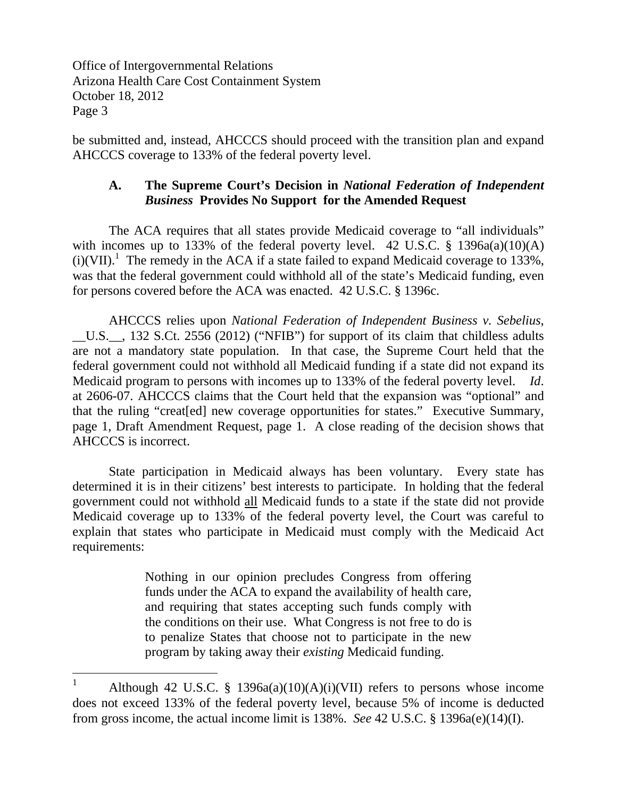$\overline{a}$ 

be submitted and, instead, AHCCCS should proceed with the transition plan and expand AHCCCS coverage to 133% of the federal poverty level.

# **A. The Supreme Court's Decision in** *National Federation of Independent Business* **Provides No Support for the Amended Request**

The ACA requires that all states provide Medicaid coverage to "all individuals" with incomes up to 133% of the federal poverty level. 42 U.S.C.  $\S$  1396a(a)(10)(A)  $(i)(VII).$ <sup>1</sup> The remedy in the ACA if a state failed to expand Medicaid coverage to 133%, was that the federal government could withhold all of the state's Medicaid funding, even for persons covered before the ACA was enacted. 42 U.S.C. § 1396c.

AHCCCS relies upon *National Federation of Independent Business v. Sebelius*, \_\_U.S.\_\_, 132 S.Ct. 2556 (2012) ("NFIB") for support of its claim that childless adults are not a mandatory state population. In that case, the Supreme Court held that the federal government could not withhold all Medicaid funding if a state did not expand its Medicaid program to persons with incomes up to 133% of the federal poverty level. *Id*. at 2606-07. AHCCCS claims that the Court held that the expansion was "optional" and that the ruling "creat[ed] new coverage opportunities for states." Executive Summary, page 1, Draft Amendment Request, page 1. A close reading of the decision shows that AHCCCS is incorrect.

 State participation in Medicaid always has been voluntary. Every state has determined it is in their citizens' best interests to participate. In holding that the federal government could not withhold all Medicaid funds to a state if the state did not provide Medicaid coverage up to 133% of the federal poverty level, the Court was careful to explain that states who participate in Medicaid must comply with the Medicaid Act requirements:

> Nothing in our opinion precludes Congress from offering funds under the ACA to expand the availability of health care, and requiring that states accepting such funds comply with the conditions on their use. What Congress is not free to do is to penalize States that choose not to participate in the new program by taking away their *existing* Medicaid funding.

<sup>1</sup> Although 42 U.S.C. § 1396a(a)(10)(A)(i)(VII) refers to persons whose income does not exceed 133% of the federal poverty level, because 5% of income is deducted from gross income, the actual income limit is 138%. *See* 42 U.S.C. § 1396a(e)(14)(I).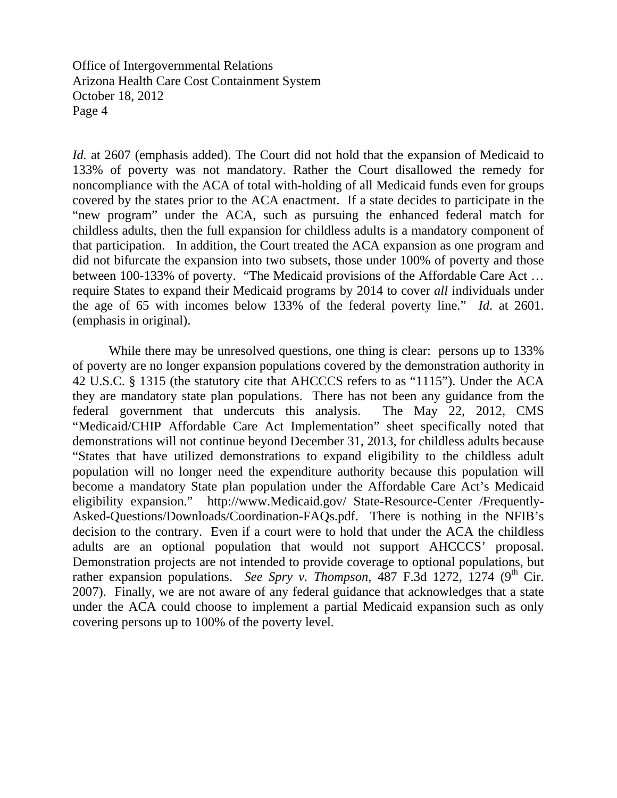*Id.* at 2607 (emphasis added). The Court did not hold that the expansion of Medicaid to 133% of poverty was not mandatory. Rather the Court disallowed the remedy for noncompliance with the ACA of total with-holding of all Medicaid funds even for groups covered by the states prior to the ACA enactment. If a state decides to participate in the "new program" under the ACA, such as pursuing the enhanced federal match for childless adults, then the full expansion for childless adults is a mandatory component of that participation. In addition, the Court treated the ACA expansion as one program and did not bifurcate the expansion into two subsets, those under 100% of poverty and those between 100-133% of poverty. "The Medicaid provisions of the Affordable Care Act … require States to expand their Medicaid programs by 2014 to cover *all* individuals under the age of 65 with incomes below 133% of the federal poverty line." *Id*. at 2601. (emphasis in original).

 While there may be unresolved questions, one thing is clear: persons up to 133% of poverty are no longer expansion populations covered by the demonstration authority in 42 U.S.C. § 1315 (the statutory cite that AHCCCS refers to as "1115"). Under the ACA they are mandatory state plan populations. There has not been any guidance from the federal government that undercuts this analysis. The May 22, 2012, CMS "Medicaid/CHIP Affordable Care Act Implementation" sheet specifically noted that demonstrations will not continue beyond December 31, 2013, for childless adults because "States that have utilized demonstrations to expand eligibility to the childless adult population will no longer need the expenditure authority because this population will become a mandatory State plan population under the Affordable Care Act's Medicaid eligibility expansion." http://www.Medicaid.gov/ State-Resource-Center /Frequently-Asked-Questions/Downloads/Coordination-FAQs.pdf. There is nothing in the NFIB's decision to the contrary. Even if a court were to hold that under the ACA the childless adults are an optional population that would not support AHCCCS' proposal. Demonstration projects are not intended to provide coverage to optional populations, but rather expansion populations. *See Spry v. Thompson*, 487 F.3d 1272, 1274 (9<sup>th</sup> Cir. 2007). Finally, we are not aware of any federal guidance that acknowledges that a state under the ACA could choose to implement a partial Medicaid expansion such as only covering persons up to 100% of the poverty level.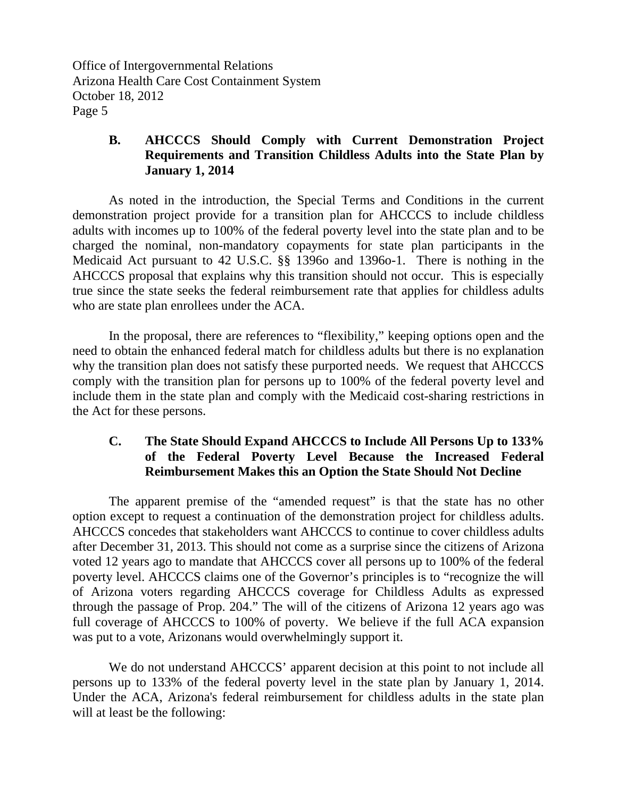## **B. AHCCCS Should Comply with Current Demonstration Project Requirements and Transition Childless Adults into the State Plan by January 1, 2014**

As noted in the introduction, the Special Terms and Conditions in the current demonstration project provide for a transition plan for AHCCCS to include childless adults with incomes up to 100% of the federal poverty level into the state plan and to be charged the nominal, non-mandatory copayments for state plan participants in the Medicaid Act pursuant to 42 U.S.C. §§ 1396o and 1396o-1. There is nothing in the AHCCCS proposal that explains why this transition should not occur. This is especially true since the state seeks the federal reimbursement rate that applies for childless adults who are state plan enrollees under the ACA.

In the proposal, there are references to "flexibility," keeping options open and the need to obtain the enhanced federal match for childless adults but there is no explanation why the transition plan does not satisfy these purported needs. We request that AHCCCS comply with the transition plan for persons up to 100% of the federal poverty level and include them in the state plan and comply with the Medicaid cost-sharing restrictions in the Act for these persons.

# **C. The State Should Expand AHCCCS to Include All Persons Up to 133% of the Federal Poverty Level Because the Increased Federal Reimbursement Makes this an Option the State Should Not Decline**

 The apparent premise of the "amended request" is that the state has no other option except to request a continuation of the demonstration project for childless adults. AHCCCS concedes that stakeholders want AHCCCS to continue to cover childless adults after December 31, 2013. This should not come as a surprise since the citizens of Arizona voted 12 years ago to mandate that AHCCCS cover all persons up to 100% of the federal poverty level. AHCCCS claims one of the Governor's principles is to "recognize the will of Arizona voters regarding AHCCCS coverage for Childless Adults as expressed through the passage of Prop. 204." The will of the citizens of Arizona 12 years ago was full coverage of AHCCCS to 100% of poverty. We believe if the full ACA expansion was put to a vote, Arizonans would overwhelmingly support it.

We do not understand AHCCCS' apparent decision at this point to not include all persons up to 133% of the federal poverty level in the state plan by January 1, 2014. Under the ACA, Arizona's federal reimbursement for childless adults in the state plan will at least be the following: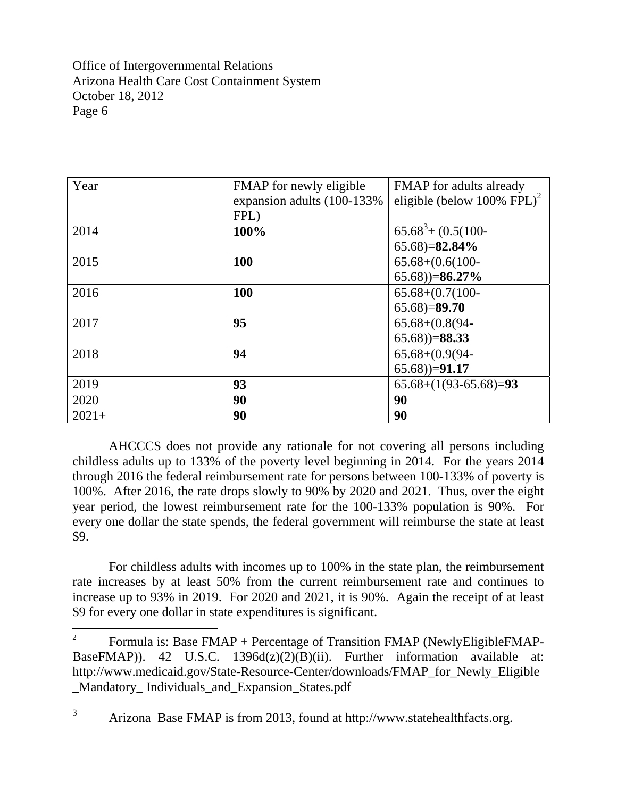$\overline{a}$ 

| Year    | FMAP for newly eligible    | FMAP for adults already                |
|---------|----------------------------|----------------------------------------|
|         | expansion adults (100-133% | eligible (below 100% FPL) <sup>2</sup> |
|         | FPL)                       |                                        |
| 2014    | 100%                       | $65.68^{3} + (0.5(100 -$               |
|         |                            | $65.68 = 82.84\%$                      |
| 2015    | <b>100</b>                 | $65.68+(0.6(100-$                      |
|         |                            | $(65.68)$ =86.27%                      |
| 2016    | 100                        | $65.68+(0.7(100-$                      |
|         |                            | $65.68 = 89.70$                        |
| 2017    | 95                         | $65.68+(0.8(94-$                       |
|         |                            | $(65.68)) = 88.33$                     |
| 2018    | 94                         | $65.68+(0.9(94-$                       |
|         |                            | $(65.68))=91.17$                       |
| 2019    | 93                         | $65.68+(1(93-65.68)=93$                |
| 2020    | 90                         | 90                                     |
| $2021+$ | 90                         | 90                                     |

 AHCCCS does not provide any rationale for not covering all persons including childless adults up to 133% of the poverty level beginning in 2014. For the years 2014 through 2016 the federal reimbursement rate for persons between 100-133% of poverty is 100%. After 2016, the rate drops slowly to 90% by 2020 and 2021. Thus, over the eight year period, the lowest reimbursement rate for the 100-133% population is 90%. For every one dollar the state spends, the federal government will reimburse the state at least \$9.

 For childless adults with incomes up to 100% in the state plan, the reimbursement rate increases by at least 50% from the current reimbursement rate and continues to increase up to 93% in 2019. For 2020 and 2021, it is 90%. Again the receipt of at least \$9 for every one dollar in state expenditures is significant.

<sup>2</sup> Formula is: Base FMAP + Percentage of Transition FMAP (NewlyEligibleFMAP-BaseFMAP)). 42 U.S.C. 1396d(z)(2)(B)(ii). Further information available at: http://www.medicaid.gov/State-Resource-Center/downloads/FMAP\_for\_Newly\_Eligible \_Mandatory\_ Individuals\_and\_Expansion\_States.pdf

<sup>3</sup> Arizona Base FMAP is from 2013, found at http://www.statehealthfacts.org.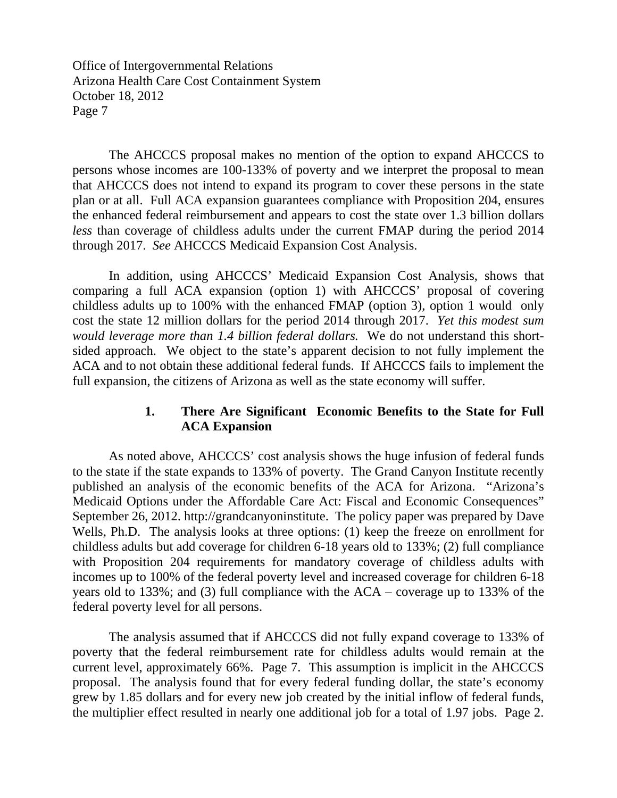The AHCCCS proposal makes no mention of the option to expand AHCCCS to persons whose incomes are 100-133% of poverty and we interpret the proposal to mean that AHCCCS does not intend to expand its program to cover these persons in the state plan or at all. Full ACA expansion guarantees compliance with Proposition 204, ensures the enhanced federal reimbursement and appears to cost the state over 1.3 billion dollars *less* than coverage of childless adults under the current FMAP during the period 2014 through 2017. *See* AHCCCS Medicaid Expansion Cost Analysis.

In addition, using AHCCCS' Medicaid Expansion Cost Analysis, shows that comparing a full ACA expansion (option 1) with AHCCCS' proposal of covering childless adults up to 100% with the enhanced FMAP (option 3), option 1 would only cost the state 12 million dollars for the period 2014 through 2017. *Yet this modest sum would leverage more than 1.4 billion federal dollars.* We do not understand this shortsided approach. We object to the state's apparent decision to not fully implement the ACA and to not obtain these additional federal funds. If AHCCCS fails to implement the full expansion, the citizens of Arizona as well as the state economy will suffer.

## **1. There Are Significant Economic Benefits to the State for Full ACA Expansion**

 As noted above, AHCCCS' cost analysis shows the huge infusion of federal funds to the state if the state expands to 133% of poverty. The Grand Canyon Institute recently published an analysis of the economic benefits of the ACA for Arizona. "Arizona's Medicaid Options under the Affordable Care Act: Fiscal and Economic Consequences" September 26, 2012. http://grandcanyoninstitute. The policy paper was prepared by Dave Wells, Ph.D. The analysis looks at three options: (1) keep the freeze on enrollment for childless adults but add coverage for children 6-18 years old to 133%; (2) full compliance with Proposition 204 requirements for mandatory coverage of childless adults with incomes up to 100% of the federal poverty level and increased coverage for children 6-18 years old to 133%; and (3) full compliance with the ACA – coverage up to 133% of the federal poverty level for all persons.

The analysis assumed that if AHCCCS did not fully expand coverage to 133% of poverty that the federal reimbursement rate for childless adults would remain at the current level, approximately 66%. Page 7. This assumption is implicit in the AHCCCS proposal. The analysis found that for every federal funding dollar, the state's economy grew by 1.85 dollars and for every new job created by the initial inflow of federal funds, the multiplier effect resulted in nearly one additional job for a total of 1.97 jobs. Page 2.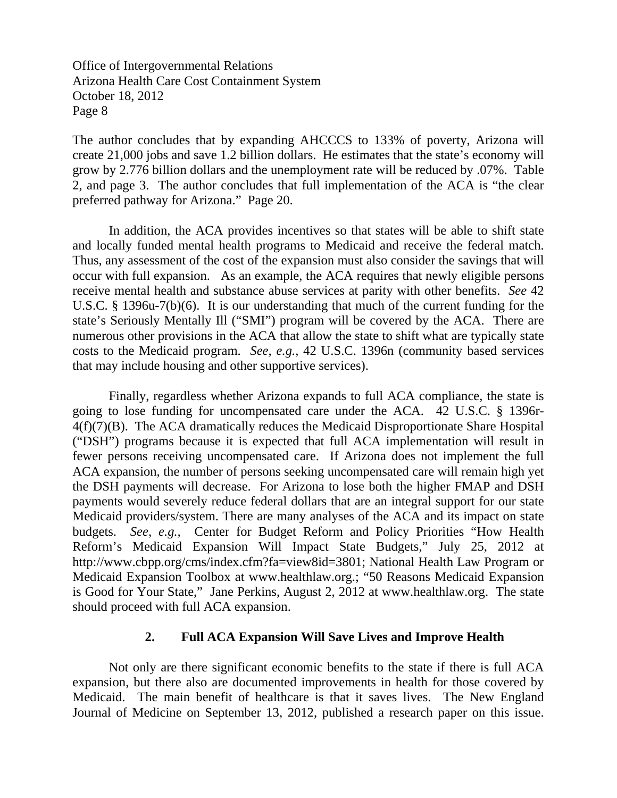The author concludes that by expanding AHCCCS to 133% of poverty, Arizona will create 21,000 jobs and save 1.2 billion dollars. He estimates that the state's economy will grow by 2.776 billion dollars and the unemployment rate will be reduced by .07%. Table 2, and page 3. The author concludes that full implementation of the ACA is "the clear preferred pathway for Arizona." Page 20.

In addition, the ACA provides incentives so that states will be able to shift state and locally funded mental health programs to Medicaid and receive the federal match. Thus, any assessment of the cost of the expansion must also consider the savings that will occur with full expansion. As an example, the ACA requires that newly eligible persons receive mental health and substance abuse services at parity with other benefits. *See* 42 U.S.C. § 1396u-7(b)(6). It is our understanding that much of the current funding for the state's Seriously Mentally Ill ("SMI") program will be covered by the ACA. There are numerous other provisions in the ACA that allow the state to shift what are typically state costs to the Medicaid program. *See, e.g.,* 42 U.S.C. 1396n (community based services that may include housing and other supportive services).

Finally, regardless whether Arizona expands to full ACA compliance, the state is going to lose funding for uncompensated care under the ACA. 42 U.S.C. § 1396r-4(f)(7)(B). The ACA dramatically reduces the Medicaid Disproportionate Share Hospital ("DSH") programs because it is expected that full ACA implementation will result in fewer persons receiving uncompensated care. If Arizona does not implement the full ACA expansion, the number of persons seeking uncompensated care will remain high yet the DSH payments will decrease. For Arizona to lose both the higher FMAP and DSH payments would severely reduce federal dollars that are an integral support for our state Medicaid providers/system. There are many analyses of the ACA and its impact on state budgets. *See, e.g.,* Center for Budget Reform and Policy Priorities "How Health Reform's Medicaid Expansion Will Impact State Budgets," July 25, 2012 at http://www.cbpp.org/cms/index.cfm?fa=view8id=3801; National Health Law Program or Medicaid Expansion Toolbox at www.healthlaw.org.; "50 Reasons Medicaid Expansion is Good for Your State," Jane Perkins, August 2, 2012 at www.healthlaw.org. The state should proceed with full ACA expansion.

#### **2. Full ACA Expansion Will Save Lives and Improve Health**

Not only are there significant economic benefits to the state if there is full ACA expansion, but there also are documented improvements in health for those covered by Medicaid. The main benefit of healthcare is that it saves lives. The New England Journal of Medicine on September 13, 2012, published a research paper on this issue.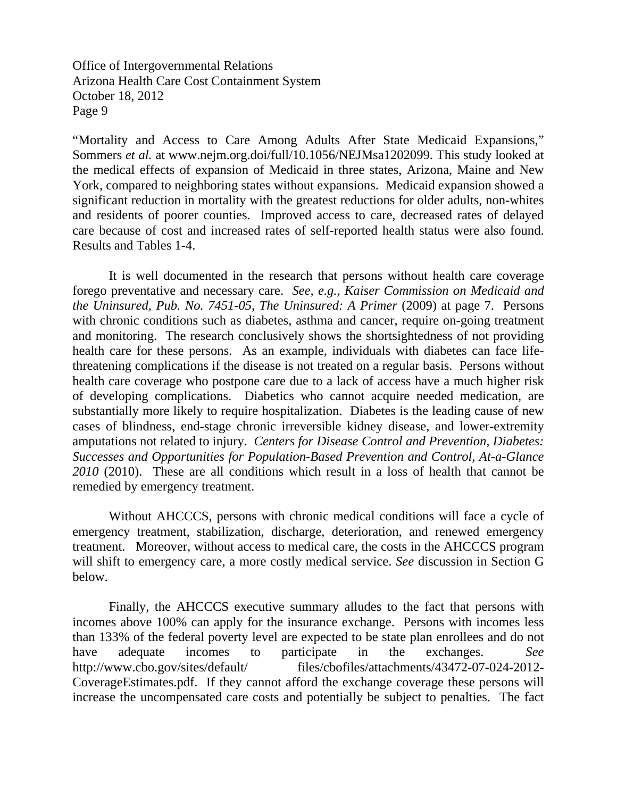"Mortality and Access to Care Among Adults After State Medicaid Expansions," Sommers *et al.* at www.nejm.org.doi/full/10.1056/NEJMsa1202099. This study looked at the medical effects of expansion of Medicaid in three states, Arizona, Maine and New York, compared to neighboring states without expansions. Medicaid expansion showed a significant reduction in mortality with the greatest reductions for older adults, non-whites and residents of poorer counties. Improved access to care, decreased rates of delayed care because of cost and increased rates of self-reported health status were also found. Results and Tables 1-4.

 It is well documented in the research that persons without health care coverage forego preventative and necessary care. *See, e.g., Kaiser Commission on Medicaid and the Uninsured, Pub. No. 7451-05, The Uninsured: A Primer (2009)* at page 7. Persons with chronic conditions such as diabetes, asthma and cancer, require on-going treatment and monitoring. The research conclusively shows the shortsightedness of not providing health care for these persons. As an example, individuals with diabetes can face lifethreatening complications if the disease is not treated on a regular basis. Persons without health care coverage who postpone care due to a lack of access have a much higher risk of developing complications. Diabetics who cannot acquire needed medication, are substantially more likely to require hospitalization. Diabetes is the leading cause of new cases of blindness, end-stage chronic irreversible kidney disease, and lower-extremity amputations not related to injury. *Centers for Disease Control and Prevention, Diabetes: Successes and Opportunities for Population-Based Prevention and Control, At-a-Glance 2010* (2010). These are all conditions which result in a loss of health that cannot be remedied by emergency treatment.

 Without AHCCCS, persons with chronic medical conditions will face a cycle of emergency treatment, stabilization, discharge, deterioration, and renewed emergency treatment. Moreover, without access to medical care, the costs in the AHCCCS program will shift to emergency care, a more costly medical service. *See* discussion in Section G below.

Finally, the AHCCCS executive summary alludes to the fact that persons with incomes above 100% can apply for the insurance exchange. Persons with incomes less than 133% of the federal poverty level are expected to be state plan enrollees and do not have adequate incomes to participate in the exchanges. *See* http://www.cbo.gov/sites/default/ files/cbofiles/attachments/43472-07-024-2012- CoverageEstimates.pdf. If they cannot afford the exchange coverage these persons will increase the uncompensated care costs and potentially be subject to penalties. The fact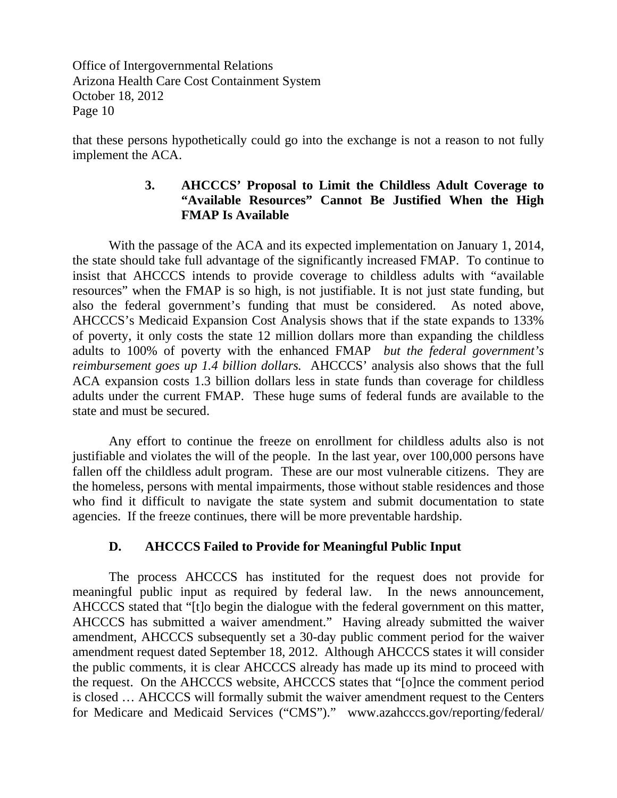that these persons hypothetically could go into the exchange is not a reason to not fully implement the ACA.

## **3. AHCCCS' Proposal to Limit the Childless Adult Coverage to "Available Resources" Cannot Be Justified When the High FMAP Is Available**

With the passage of the ACA and its expected implementation on January 1, 2014, the state should take full advantage of the significantly increased FMAP. To continue to insist that AHCCCS intends to provide coverage to childless adults with "available resources" when the FMAP is so high, is not justifiable. It is not just state funding, but also the federal government's funding that must be considered. As noted above, AHCCCS's Medicaid Expansion Cost Analysis shows that if the state expands to 133% of poverty, it only costs the state 12 million dollars more than expanding the childless adults to 100% of poverty with the enhanced FMAP *but the federal government's reimbursement goes up 1.4 billion dollars.* AHCCCS' analysis also shows that the full ACA expansion costs 1.3 billion dollars less in state funds than coverage for childless adults under the current FMAP. These huge sums of federal funds are available to the state and must be secured.

Any effort to continue the freeze on enrollment for childless adults also is not justifiable and violates the will of the people. In the last year, over 100,000 persons have fallen off the childless adult program. These are our most vulnerable citizens. They are the homeless, persons with mental impairments, those without stable residences and those who find it difficult to navigate the state system and submit documentation to state agencies. If the freeze continues, there will be more preventable hardship.

## **D. AHCCCS Failed to Provide for Meaningful Public Input**

The process AHCCCS has instituted for the request does not provide for meaningful public input as required by federal law. In the news announcement, AHCCCS stated that "[t]o begin the dialogue with the federal government on this matter, AHCCCS has submitted a waiver amendment." Having already submitted the waiver amendment, AHCCCS subsequently set a 30-day public comment period for the waiver amendment request dated September 18, 2012. Although AHCCCS states it will consider the public comments, it is clear AHCCCS already has made up its mind to proceed with the request. On the AHCCCS website, AHCCCS states that "[o]nce the comment period is closed … AHCCCS will formally submit the waiver amendment request to the Centers for Medicare and Medicaid Services ("CMS")." www.azahcccs.gov/reporting/federal/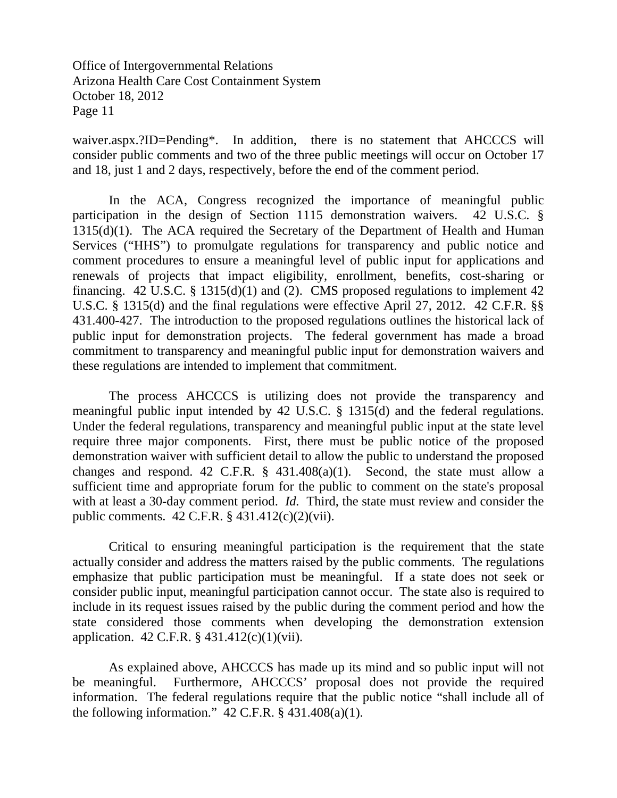waiver.aspx.?ID=Pending\*. In addition, there is no statement that AHCCCS will consider public comments and two of the three public meetings will occur on October 17 and 18, just 1 and 2 days, respectively, before the end of the comment period.

In the ACA, Congress recognized the importance of meaningful public participation in the design of Section 1115 demonstration waivers. 42 U.S.C. §  $1315(d)(1)$ . The ACA required the Secretary of the Department of Health and Human Services ("HHS") to promulgate regulations for transparency and public notice and comment procedures to ensure a meaningful level of public input for applications and renewals of projects that impact eligibility, enrollment, benefits, cost-sharing or financing.  $42 \text{ U.S.C. }$  §  $1315(d)(1)$  and (2). CMS proposed regulations to implement 42 U.S.C. § 1315(d) and the final regulations were effective April 27, 2012. 42 C.F.R. §§ 431.400-427. The introduction to the proposed regulations outlines the historical lack of public input for demonstration projects. The federal government has made a broad commitment to transparency and meaningful public input for demonstration waivers and these regulations are intended to implement that commitment.

 The process AHCCCS is utilizing does not provide the transparency and meaningful public input intended by 42 U.S.C. § 1315(d) and the federal regulations. Under the federal regulations, transparency and meaningful public input at the state level require three major components. First, there must be public notice of the proposed demonstration waiver with sufficient detail to allow the public to understand the proposed changes and respond. 42 C.F.R.  $\S$  431.408(a)(1). Second, the state must allow a sufficient time and appropriate forum for the public to comment on the state's proposal with at least a 30-day comment period. *Id.* Third, the state must review and consider the public comments. 42 C.F.R. § 431.412(c)(2)(vii).

 Critical to ensuring meaningful participation is the requirement that the state actually consider and address the matters raised by the public comments. The regulations emphasize that public participation must be meaningful. If a state does not seek or consider public input, meaningful participation cannot occur. The state also is required to include in its request issues raised by the public during the comment period and how the state considered those comments when developing the demonstration extension application. 42 C.F.R. § 431.412(c)(1)(vii).

 As explained above, AHCCCS has made up its mind and so public input will not be meaningful. Furthermore, AHCCCS' proposal does not provide the required information. The federal regulations require that the public notice "shall include all of the following information."  $42$  C.F.R. §  $431.408(a)(1)$ .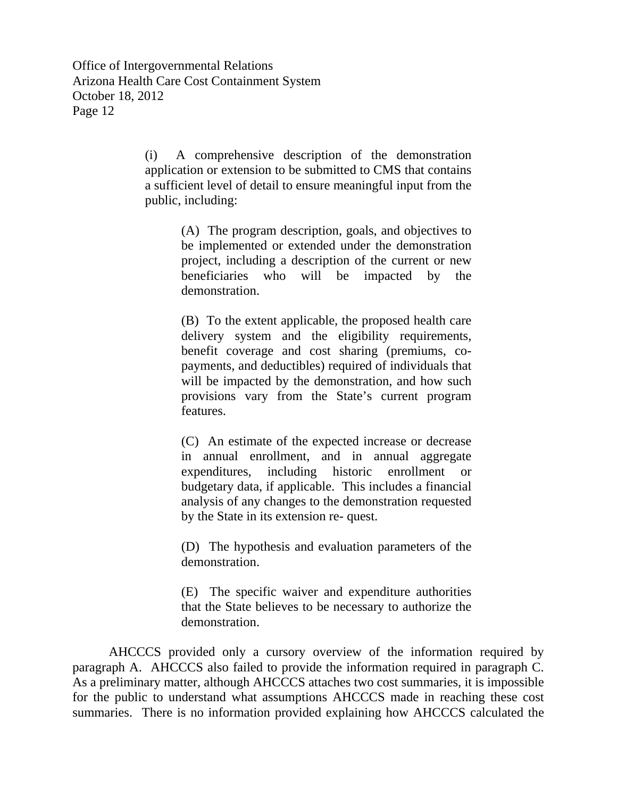> (i) A comprehensive description of the demonstration application or extension to be submitted to CMS that contains a sufficient level of detail to ensure meaningful input from the public, including:

> > (A) The program description, goals, and objectives to be implemented or extended under the demonstration project, including a description of the current or new beneficiaries who will be impacted by the demonstration.

> > (B) To the extent applicable, the proposed health care delivery system and the eligibility requirements, benefit coverage and cost sharing (premiums, copayments, and deductibles) required of individuals that will be impacted by the demonstration, and how such provisions vary from the State's current program features.

> > (C) An estimate of the expected increase or decrease in annual enrollment, and in annual aggregate expenditures, including historic enrollment or budgetary data, if applicable. This includes a financial analysis of any changes to the demonstration requested by the State in its extension re- quest.

> > (D) The hypothesis and evaluation parameters of the demonstration.

> > (E) The specific waiver and expenditure authorities that the State believes to be necessary to authorize the demonstration.

 AHCCCS provided only a cursory overview of the information required by paragraph A. AHCCCS also failed to provide the information required in paragraph C. As a preliminary matter, although AHCCCS attaches two cost summaries, it is impossible for the public to understand what assumptions AHCCCS made in reaching these cost summaries. There is no information provided explaining how AHCCCS calculated the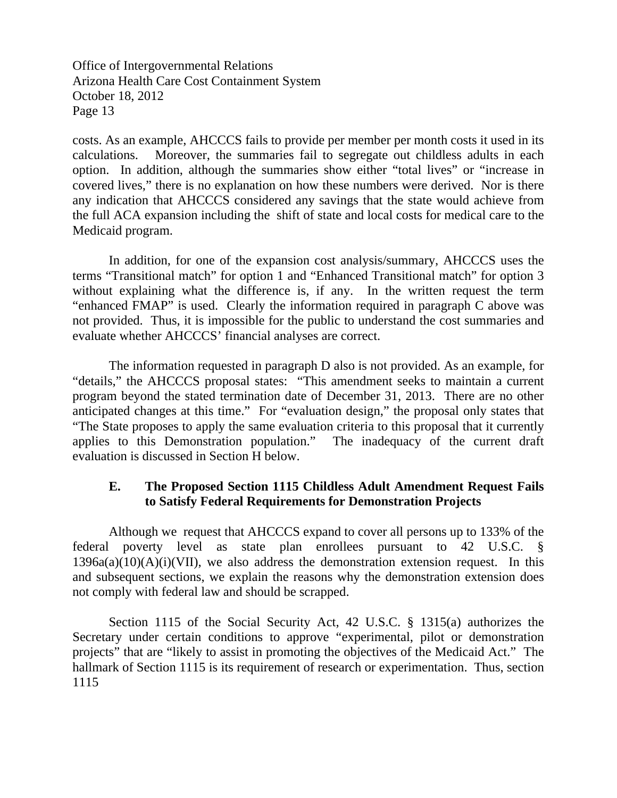costs. As an example, AHCCCS fails to provide per member per month costs it used in its calculations. Moreover, the summaries fail to segregate out childless adults in each option. In addition, although the summaries show either "total lives" or "increase in covered lives," there is no explanation on how these numbers were derived. Nor is there any indication that AHCCCS considered any savings that the state would achieve from the full ACA expansion including the shift of state and local costs for medical care to the Medicaid program.

In addition, for one of the expansion cost analysis/summary, AHCCCS uses the terms "Transitional match" for option 1 and "Enhanced Transitional match" for option 3 without explaining what the difference is, if any. In the written request the term "enhanced FMAP" is used. Clearly the information required in paragraph C above was not provided. Thus, it is impossible for the public to understand the cost summaries and evaluate whether AHCCCS' financial analyses are correct.

 The information requested in paragraph D also is not provided. As an example, for "details," the AHCCCS proposal states: "This amendment seeks to maintain a current program beyond the stated termination date of December 31, 2013. There are no other anticipated changes at this time." For "evaluation design," the proposal only states that "The State proposes to apply the same evaluation criteria to this proposal that it currently applies to this Demonstration population." The inadequacy of the current draft evaluation is discussed in Section H below.

## **E. The Proposed Section 1115 Childless Adult Amendment Request Fails to Satisfy Federal Requirements for Demonstration Projects**

Although we request that AHCCCS expand to cover all persons up to 133% of the federal poverty level as state plan enrollees pursuant to 42 U.S.C. §  $1396a(a)(10)(A)(i)(VII)$ , we also address the demonstration extension request. In this and subsequent sections, we explain the reasons why the demonstration extension does not comply with federal law and should be scrapped.

Section 1115 of the Social Security Act, 42 U.S.C. § 1315(a) authorizes the Secretary under certain conditions to approve "experimental, pilot or demonstration projects" that are "likely to assist in promoting the objectives of the Medicaid Act." The hallmark of Section 1115 is its requirement of research or experimentation. Thus, section 1115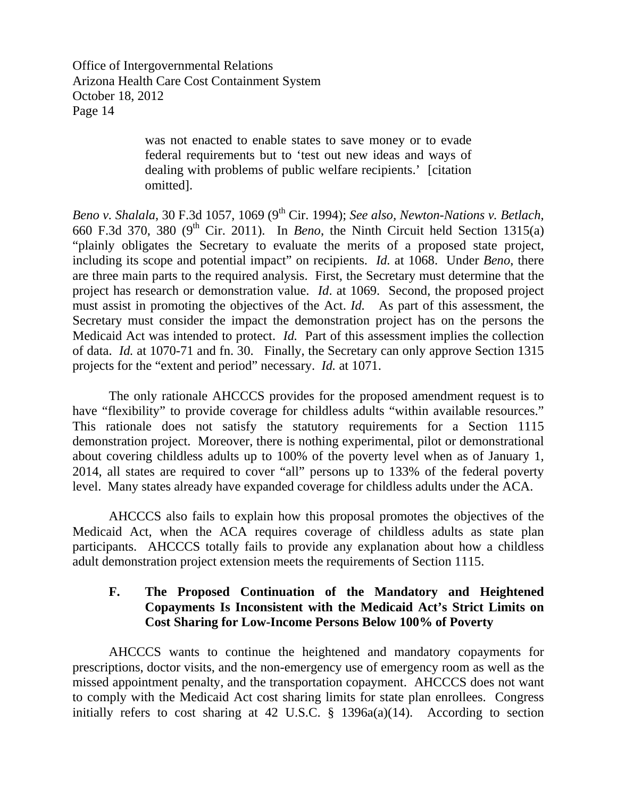> was not enacted to enable states to save money or to evade federal requirements but to 'test out new ideas and ways of dealing with problems of public welfare recipients.' [citation omitted].

*Beno v. Shalala, 30 F.3d 1057, 1069 (9<sup>th</sup> Cir. 1994); <i>See also, Newton-Nations v. Betlach,* 660 F.3d 370, 380 (9th Cir. 2011). In *Beno*, the Ninth Circuit held Section 1315(a) "plainly obligates the Secretary to evaluate the merits of a proposed state project, including its scope and potential impact" on recipients. *Id.* at 1068. Under *Beno*, there are three main parts to the required analysis. First, the Secretary must determine that the project has research or demonstration value. *Id*. at 1069. Second, the proposed project must assist in promoting the objectives of the Act. *Id.* As part of this assessment, the Secretary must consider the impact the demonstration project has on the persons the Medicaid Act was intended to protect. *Id.* Part of this assessment implies the collection of data. *Id.* at 1070-71 and fn. 30. Finally, the Secretary can only approve Section 1315 projects for the "extent and period" necessary. *Id.* at 1071.

The only rationale AHCCCS provides for the proposed amendment request is to have "flexibility" to provide coverage for childless adults "within available resources." This rationale does not satisfy the statutory requirements for a Section 1115 demonstration project. Moreover, there is nothing experimental, pilot or demonstrational about covering childless adults up to 100% of the poverty level when as of January 1, 2014, all states are required to cover "all" persons up to 133% of the federal poverty level. Many states already have expanded coverage for childless adults under the ACA.

AHCCCS also fails to explain how this proposal promotes the objectives of the Medicaid Act, when the ACA requires coverage of childless adults as state plan participants. AHCCCS totally fails to provide any explanation about how a childless adult demonstration project extension meets the requirements of Section 1115.

## **F. The Proposed Continuation of the Mandatory and Heightened Copayments Is Inconsistent with the Medicaid Act's Strict Limits on Cost Sharing for Low-Income Persons Below 100% of Poverty**

AHCCCS wants to continue the heightened and mandatory copayments for prescriptions, doctor visits, and the non-emergency use of emergency room as well as the missed appointment penalty, and the transportation copayment. AHCCCS does not want to comply with the Medicaid Act cost sharing limits for state plan enrollees. Congress initially refers to cost sharing at 42 U.S.C.  $\S$  1396a(a)(14). According to section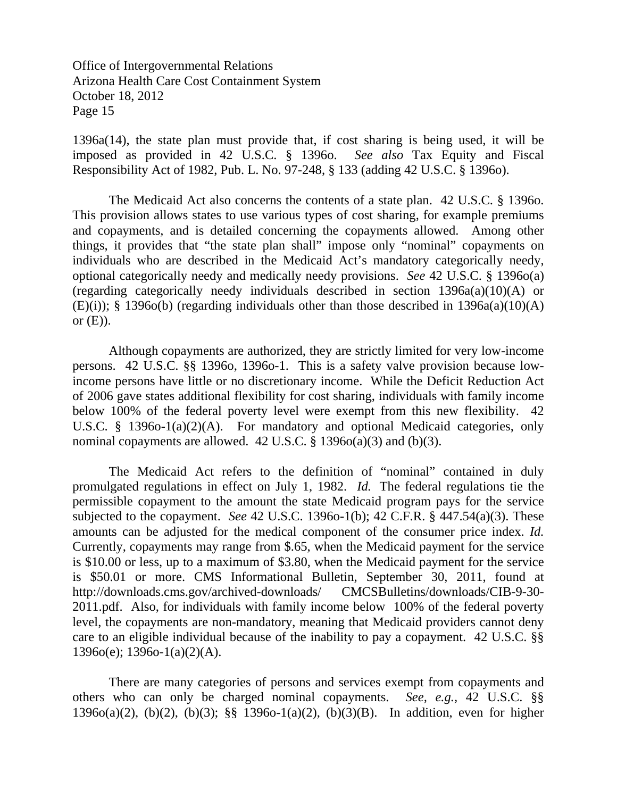1396a(14), the state plan must provide that, if cost sharing is being used, it will be imposed as provided in 42 U.S.C. § 1396o. *See also* Tax Equity and Fiscal Responsibility Act of 1982, Pub. L. No. 97-248, § 133 (adding 42 U.S.C. § 1396o).

The Medicaid Act also concerns the contents of a state plan. 42 U.S.C. § 1396o. This provision allows states to use various types of cost sharing, for example premiums and copayments, and is detailed concerning the copayments allowed. Among other things, it provides that "the state plan shall" impose only "nominal" copayments on individuals who are described in the Medicaid Act's mandatory categorically needy, optional categorically needy and medically needy provisions. *See* 42 U.S.C. § 1396o(a) (regarding categorically needy individuals described in section 1396a(a)(10)(A) or  $(E)(i)$ ; § 1396o(b) (regarding individuals other than those described in 1396a(a)(10)(A) or  $(E)$ ).

Although copayments are authorized, they are strictly limited for very low-income persons. 42 U.S.C. §§ 1396o, 1396o-1. This is a safety valve provision because lowincome persons have little or no discretionary income. While the Deficit Reduction Act of 2006 gave states additional flexibility for cost sharing, individuals with family income below 100% of the federal poverty level were exempt from this new flexibility. 42 U.S.C. § 1396o-1(a)(2)(A). For mandatory and optional Medicaid categories, only nominal copayments are allowed. 42 U.S.C. § 1396o(a)(3) and (b)(3).

The Medicaid Act refers to the definition of "nominal" contained in duly promulgated regulations in effect on July 1, 1982. *Id.* The federal regulations tie the permissible copayment to the amount the state Medicaid program pays for the service subjected to the copayment. *See* 42 U.S.C. 1396o-1(b); 42 C.F.R. § 447.54(a)(3). These amounts can be adjusted for the medical component of the consumer price index. *Id.* Currently, copayments may range from \$.65, when the Medicaid payment for the service is \$10.00 or less, up to a maximum of \$3.80, when the Medicaid payment for the service is \$50.01 or more. CMS Informational Bulletin, September 30, 2011, found at http://downloads.cms.gov/archived-downloads/ CMCSBulletins/downloads/CIB-9-30- 2011.pdf. Also, for individuals with family income below 100% of the federal poverty level, the copayments are non-mandatory, meaning that Medicaid providers cannot deny care to an eligible individual because of the inability to pay a copayment. 42 U.S.C. §§  $1396o(e)$ ; 1396o-1(a)(2)(A).

 There are many categories of persons and services exempt from copayments and others who can only be charged nominal copayments. *See, e.g.,* 42 U.S.C. §§ 1396o(a)(2), (b)(2), (b)(3); §§ 1396o-1(a)(2), (b)(3)(B). In addition, even for higher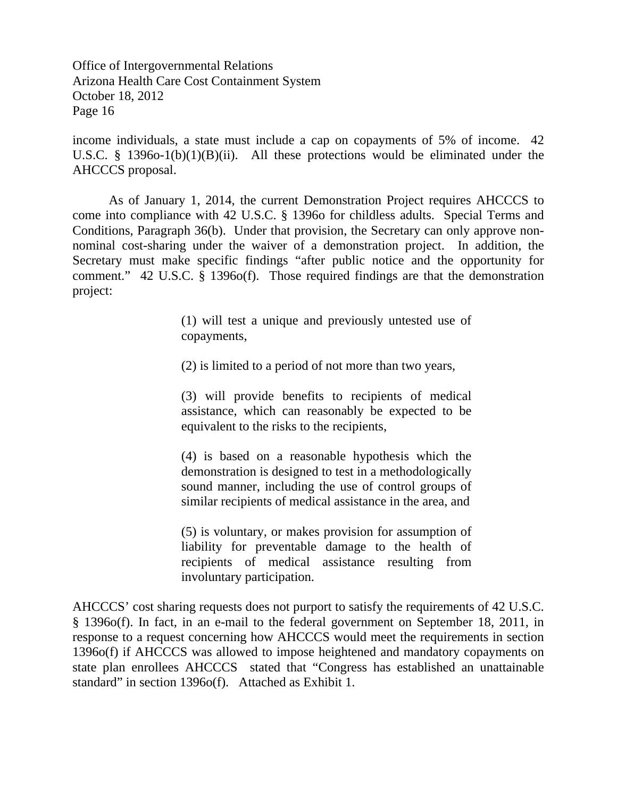income individuals, a state must include a cap on copayments of 5% of income. 42 U.S.C. § 1396o-1(b)(1)(B)(ii). All these protections would be eliminated under the AHCCCS proposal.

As of January 1, 2014, the current Demonstration Project requires AHCCCS to come into compliance with 42 U.S.C. § 1396o for childless adults. Special Terms and Conditions, Paragraph 36(b). Under that provision, the Secretary can only approve nonnominal cost-sharing under the waiver of a demonstration project. In addition, the Secretary must make specific findings "after public notice and the opportunity for comment." 42 U.S.C. § 1396o(f). Those required findings are that the demonstration project:

> (1) will test a unique and previously untested use of copayments,

(2) is limited to a period of not more than two years,

(3) will provide benefits to recipients of medical assistance, which can reasonably be expected to be equivalent to the risks to the recipients,

(4) is based on a reasonable hypothesis which the demonstration is designed to test in a methodologically sound manner, including the use of control groups of similar recipients of medical assistance in the area, and

(5) is voluntary, or makes provision for assumption of liability for preventable damage to the health of recipients of medical assistance resulting from involuntary participation.

AHCCCS' cost sharing requests does not purport to satisfy the requirements of 42 U.S.C. § 1396o(f). In fact, in an e-mail to the federal government on September 18, 2011, in response to a request concerning how AHCCCS would meet the requirements in section 1396o(f) if AHCCCS was allowed to impose heightened and mandatory copayments on state plan enrollees AHCCCS stated that "Congress has established an unattainable standard" in section 1396o(f). Attached as Exhibit 1.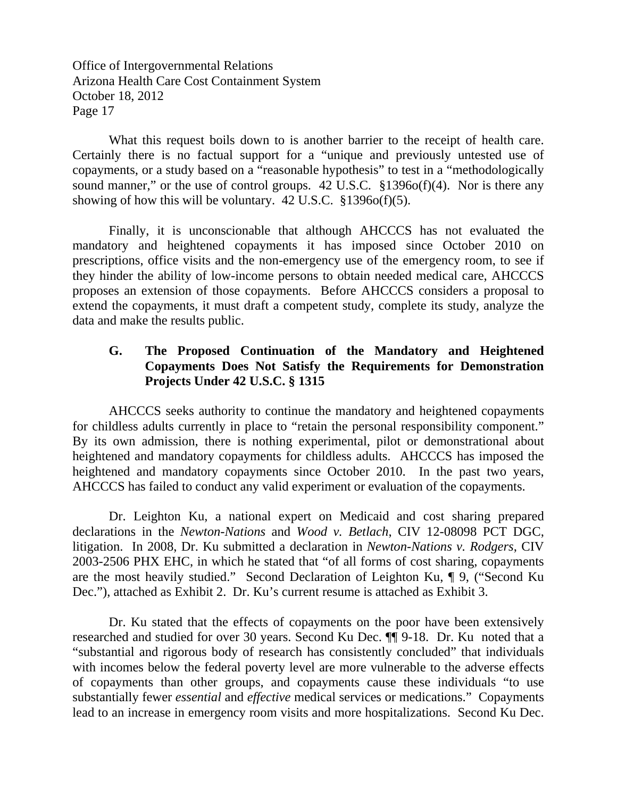What this request boils down to is another barrier to the receipt of health care. Certainly there is no factual support for a "unique and previously untested use of copayments, or a study based on a "reasonable hypothesis" to test in a "methodologically sound manner," or the use of control groups. 42 U.S.C. §1396o(f)(4). Nor is there any showing of how this will be voluntary.  $42 \text{ U.S.C. }$  \$1396o(f)(5).

 Finally, it is unconscionable that although AHCCCS has not evaluated the mandatory and heightened copayments it has imposed since October 2010 on prescriptions, office visits and the non-emergency use of the emergency room, to see if they hinder the ability of low-income persons to obtain needed medical care, AHCCCS proposes an extension of those copayments. Before AHCCCS considers a proposal to extend the copayments, it must draft a competent study, complete its study, analyze the data and make the results public.

# **G. The Proposed Continuation of the Mandatory and Heightened Copayments Does Not Satisfy the Requirements for Demonstration Projects Under 42 U.S.C. § 1315**

 AHCCCS seeks authority to continue the mandatory and heightened copayments for childless adults currently in place to "retain the personal responsibility component." By its own admission, there is nothing experimental, pilot or demonstrational about heightened and mandatory copayments for childless adults. AHCCCS has imposed the heightened and mandatory copayments since October 2010. In the past two years, AHCCCS has failed to conduct any valid experiment or evaluation of the copayments.

 Dr. Leighton Ku, a national expert on Medicaid and cost sharing prepared declarations in the *Newton-Nations* and *Wood v. Betlach*, CIV 12-08098 PCT DGC, litigation. In 2008, Dr. Ku submitted a declaration in *Newton-Nations v. Rodgers*, CIV 2003-2506 PHX EHC, in which he stated that "of all forms of cost sharing, copayments are the most heavily studied." Second Declaration of Leighton Ku, ¶ 9, ("Second Ku Dec."), attached as Exhibit 2. Dr. Ku's current resume is attached as Exhibit 3.

 Dr. Ku stated that the effects of copayments on the poor have been extensively researched and studied for over 30 years. Second Ku Dec. ¶¶ 9-18. Dr. Ku noted that a "substantial and rigorous body of research has consistently concluded" that individuals with incomes below the federal poverty level are more vulnerable to the adverse effects of copayments than other groups, and copayments cause these individuals "to use substantially fewer *essential* and *effective* medical services or medications." Copayments lead to an increase in emergency room visits and more hospitalizations. Second Ku Dec.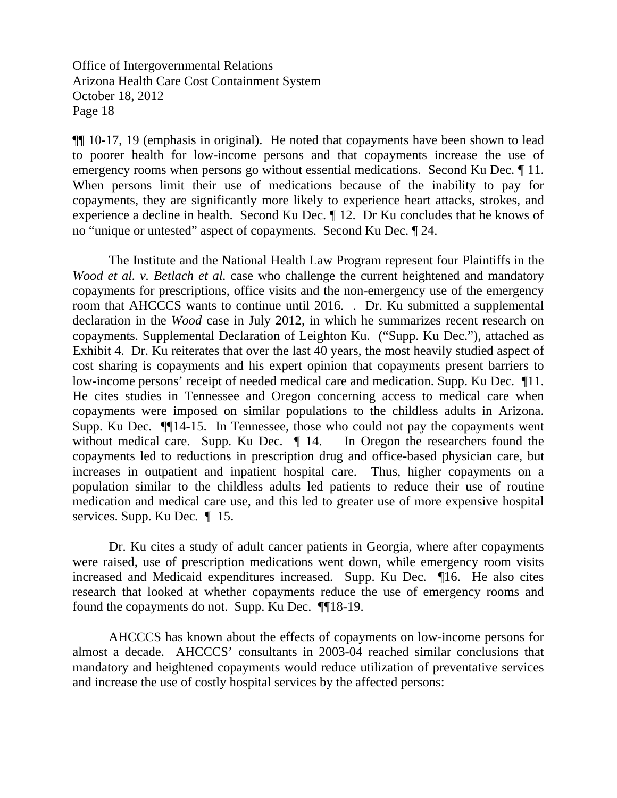¶¶ 10-17, 19 (emphasis in original). He noted that copayments have been shown to lead to poorer health for low-income persons and that copayments increase the use of emergency rooms when persons go without essential medications. Second Ku Dec. ¶ 11. When persons limit their use of medications because of the inability to pay for copayments, they are significantly more likely to experience heart attacks, strokes, and experience a decline in health. Second Ku Dec. ¶ 12. Dr Ku concludes that he knows of no "unique or untested" aspect of copayments. Second Ku Dec. ¶ 24.

The Institute and the National Health Law Program represent four Plaintiffs in the *Wood et al. v. Betlach et al.* case who challenge the current heightened and mandatory copayments for prescriptions, office visits and the non-emergency use of the emergency room that AHCCCS wants to continue until 2016. . Dr. Ku submitted a supplemental declaration in the *Wood* case in July 2012, in which he summarizes recent research on copayments. Supplemental Declaration of Leighton Ku. ("Supp. Ku Dec."), attached as Exhibit 4. Dr. Ku reiterates that over the last 40 years, the most heavily studied aspect of cost sharing is copayments and his expert opinion that copayments present barriers to low-income persons' receipt of needed medical care and medication. Supp. Ku Dec*.* ¶11. He cites studies in Tennessee and Oregon concerning access to medical care when copayments were imposed on similar populations to the childless adults in Arizona. Supp. Ku Dec*.* ¶¶14-15. In Tennessee, those who could not pay the copayments went without medical care. Supp. Ku Dec.  $\parallel$  14. In Oregon the researchers found the copayments led to reductions in prescription drug and office-based physician care, but increases in outpatient and inpatient hospital care. Thus, higher copayments on a population similar to the childless adults led patients to reduce their use of routine medication and medical care use, and this led to greater use of more expensive hospital services. Supp. Ku Dec*.* ¶ 15.

Dr. Ku cites a study of adult cancer patients in Georgia, where after copayments were raised, use of prescription medications went down, while emergency room visits increased and Medicaid expenditures increased. Supp. Ku Dec*.* ¶16. He also cites research that looked at whether copayments reduce the use of emergency rooms and found the copayments do not. Supp. Ku Dec. ¶¶18-19.

 AHCCCS has known about the effects of copayments on low-income persons for almost a decade. AHCCCS' consultants in 2003-04 reached similar conclusions that mandatory and heightened copayments would reduce utilization of preventative services and increase the use of costly hospital services by the affected persons: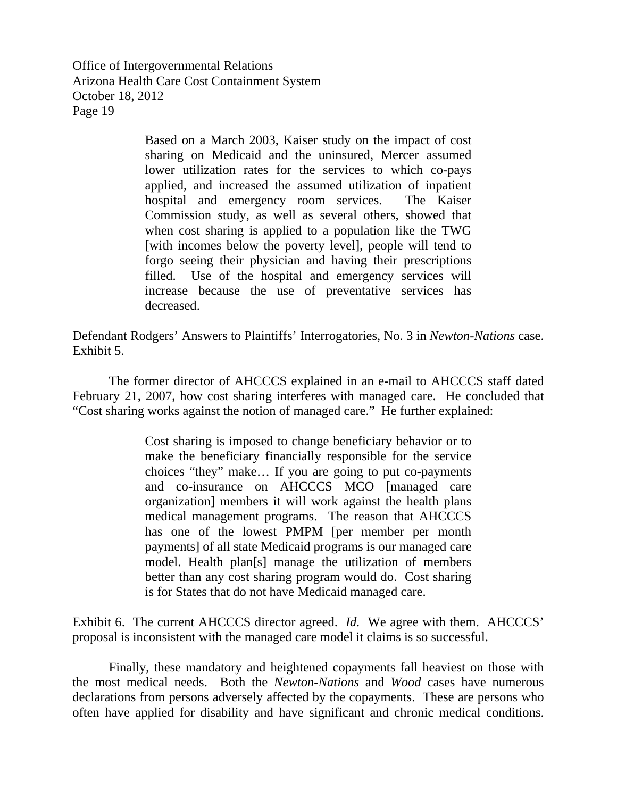> Based on a March 2003, Kaiser study on the impact of cost sharing on Medicaid and the uninsured, Mercer assumed lower utilization rates for the services to which co-pays applied, and increased the assumed utilization of inpatient hospital and emergency room services. The Kaiser Commission study, as well as several others, showed that when cost sharing is applied to a population like the TWG [with incomes below the poverty level], people will tend to forgo seeing their physician and having their prescriptions filled. Use of the hospital and emergency services will increase because the use of preventative services has decreased.

Defendant Rodgers' Answers to Plaintiffs' Interrogatories, No. 3 in *Newton-Nations* case. Exhibit 5.

The former director of AHCCCS explained in an e-mail to AHCCCS staff dated February 21, 2007, how cost sharing interferes with managed care. He concluded that "Cost sharing works against the notion of managed care." He further explained:

> Cost sharing is imposed to change beneficiary behavior or to make the beneficiary financially responsible for the service choices "they" make… If you are going to put co-payments and co-insurance on AHCCCS MCO [managed care organization] members it will work against the health plans medical management programs. The reason that AHCCCS has one of the lowest PMPM [per member per month payments] of all state Medicaid programs is our managed care model. Health plan[s] manage the utilization of members better than any cost sharing program would do. Cost sharing is for States that do not have Medicaid managed care.

Exhibit 6. The current AHCCCS director agreed. *Id.* We agree with them. AHCCCS' proposal is inconsistent with the managed care model it claims is so successful.

 Finally, these mandatory and heightened copayments fall heaviest on those with the most medical needs. Both the *Newton-Nations* and *Wood* cases have numerous declarations from persons adversely affected by the copayments. These are persons who often have applied for disability and have significant and chronic medical conditions.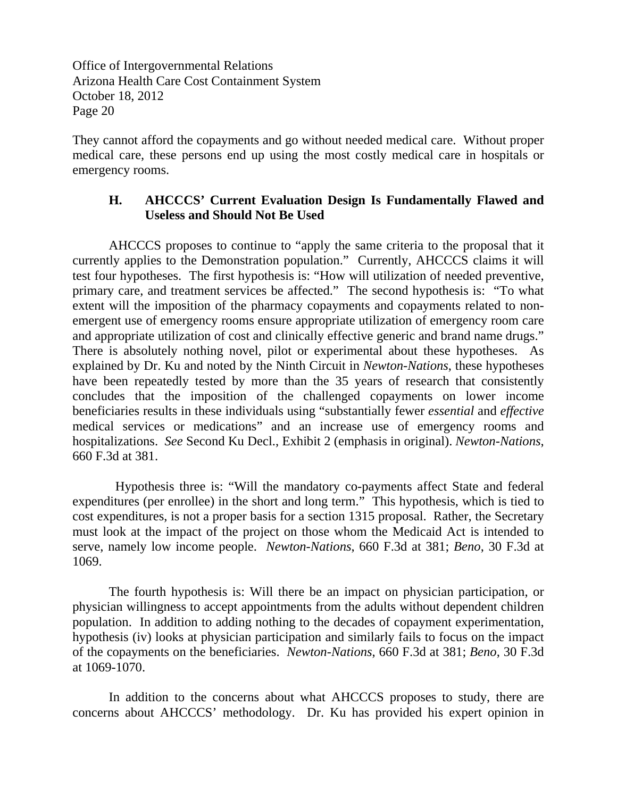They cannot afford the copayments and go without needed medical care. Without proper medical care, these persons end up using the most costly medical care in hospitals or emergency rooms.

## **H. AHCCCS' Current Evaluation Design Is Fundamentally Flawed and Useless and Should Not Be Used**

 AHCCCS proposes to continue to "apply the same criteria to the proposal that it currently applies to the Demonstration population." Currently, AHCCCS claims it will test four hypotheses. The first hypothesis is: "How will utilization of needed preventive, primary care, and treatment services be affected." The second hypothesis is: "To what extent will the imposition of the pharmacy copayments and copayments related to nonemergent use of emergency rooms ensure appropriate utilization of emergency room care and appropriate utilization of cost and clinically effective generic and brand name drugs." There is absolutely nothing novel, pilot or experimental about these hypotheses. As explained by Dr. Ku and noted by the Ninth Circuit in *Newton-Nations*, these hypotheses have been repeatedly tested by more than the 35 years of research that consistently concludes that the imposition of the challenged copayments on lower income beneficiaries results in these individuals using "substantially fewer *essential* and *effective*  medical services or medications" and an increase use of emergency rooms and hospitalizations. *See* Second Ku Decl., Exhibit 2 (emphasis in original). *Newton-Nations*, 660 F.3d at 381.

 Hypothesis three is: "Will the mandatory co-payments affect State and federal expenditures (per enrollee) in the short and long term." This hypothesis, which is tied to cost expenditures, is not a proper basis for a section 1315 proposal. Rather, the Secretary must look at the impact of the project on those whom the Medicaid Act is intended to serve, namely low income people. *Newton-Nations*, 660 F.3d at 381; *Beno*, 30 F.3d at 1069.

The fourth hypothesis is: Will there be an impact on physician participation, or physician willingness to accept appointments from the adults without dependent children population. In addition to adding nothing to the decades of copayment experimentation, hypothesis (iv) looks at physician participation and similarly fails to focus on the impact of the copayments on the beneficiaries. *Newton-Nations*, 660 F.3d at 381; *Beno*, 30 F.3d at 1069-1070.

In addition to the concerns about what AHCCCS proposes to study, there are concerns about AHCCCS' methodology. Dr. Ku has provided his expert opinion in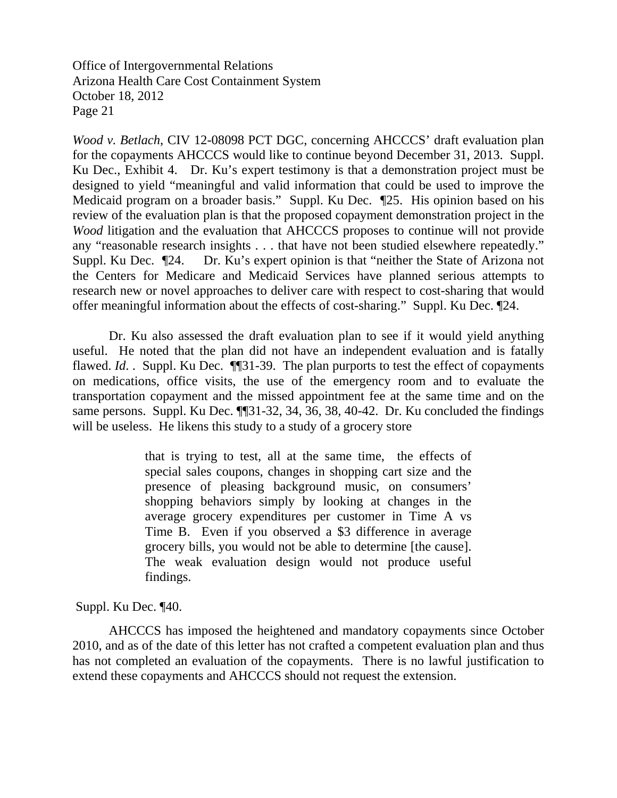*Wood v. Betlach*, CIV 12-08098 PCT DGC, concerning AHCCCS' draft evaluation plan for the copayments AHCCCS would like to continue beyond December 31, 2013. Suppl. Ku Dec., Exhibit 4. Dr. Ku's expert testimony is that a demonstration project must be designed to yield "meaningful and valid information that could be used to improve the Medicaid program on a broader basis." Suppl. Ku Dec. ¶25. His opinion based on his review of the evaluation plan is that the proposed copayment demonstration project in the *Wood* litigation and the evaluation that AHCCCS proposes to continue will not provide any "reasonable research insights . . . that have not been studied elsewhere repeatedly." Suppl. Ku Dec. ¶24. Dr. Ku's expert opinion is that "neither the State of Arizona not the Centers for Medicare and Medicaid Services have planned serious attempts to research new or novel approaches to deliver care with respect to cost-sharing that would offer meaningful information about the effects of cost-sharing." Suppl. Ku Dec. ¶24.

Dr. Ku also assessed the draft evaluation plan to see if it would yield anything useful. He noted that the plan did not have an independent evaluation and is fatally flawed. *Id.* . Suppl. Ku Dec. ¶[31-39. The plan purports to test the effect of copayments on medications, office visits, the use of the emergency room and to evaluate the transportation copayment and the missed appointment fee at the same time and on the same persons. Suppl. Ku Dec.  $\P$  31-32, 34, 36, 38, 40-42. Dr. Ku concluded the findings will be useless. He likens this study to a study of a grocery store

> that is trying to test, all at the same time, the effects of special sales coupons, changes in shopping cart size and the presence of pleasing background music, on consumers' shopping behaviors simply by looking at changes in the average grocery expenditures per customer in Time A vs Time B. Even if you observed a \$3 difference in average grocery bills, you would not be able to determine [the cause]. The weak evaluation design would not produce useful findings.

Suppl. Ku Dec. ¶40.

 AHCCCS has imposed the heightened and mandatory copayments since October 2010, and as of the date of this letter has not crafted a competent evaluation plan and thus has not completed an evaluation of the copayments. There is no lawful justification to extend these copayments and AHCCCS should not request the extension.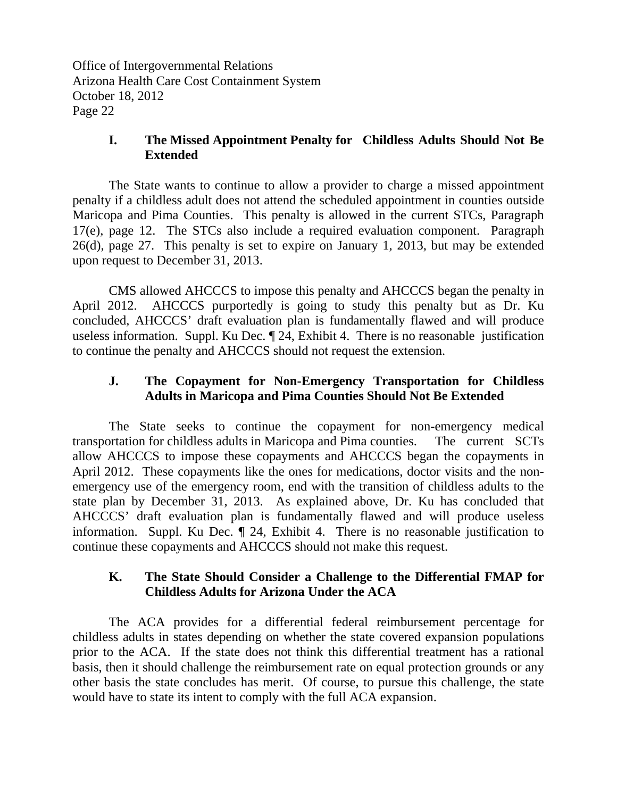## **I. The Missed Appointment Penalty for Childless Adults Should Not Be Extended**

 The State wants to continue to allow a provider to charge a missed appointment penalty if a childless adult does not attend the scheduled appointment in counties outside Maricopa and Pima Counties. This penalty is allowed in the current STCs, Paragraph 17(e), page 12. The STCs also include a required evaluation component. Paragraph 26(d), page 27. This penalty is set to expire on January 1, 2013, but may be extended upon request to December 31, 2013.

 CMS allowed AHCCCS to impose this penalty and AHCCCS began the penalty in April 2012. AHCCCS purportedly is going to study this penalty but as Dr. Ku concluded, AHCCCS' draft evaluation plan is fundamentally flawed and will produce useless information. Suppl. Ku Dec. ¶ 24, Exhibit 4. There is no reasonable justification to continue the penalty and AHCCCS should not request the extension.

## **J. The Copayment for Non-Emergency Transportation for Childless Adults in Maricopa and Pima Counties Should Not Be Extended**

 The State seeks to continue the copayment for non-emergency medical transportation for childless adults in Maricopa and Pima counties. The current SCTs allow AHCCCS to impose these copayments and AHCCCS began the copayments in April 2012. These copayments like the ones for medications, doctor visits and the nonemergency use of the emergency room, end with the transition of childless adults to the state plan by December 31, 2013. As explained above, Dr. Ku has concluded that AHCCCS' draft evaluation plan is fundamentally flawed and will produce useless information. Suppl. Ku Dec. ¶ 24, Exhibit 4. There is no reasonable justification to continue these copayments and AHCCCS should not make this request.

## **K. The State Should Consider a Challenge to the Differential FMAP for Childless Adults for Arizona Under the ACA**

 The ACA provides for a differential federal reimbursement percentage for childless adults in states depending on whether the state covered expansion populations prior to the ACA. If the state does not think this differential treatment has a rational basis, then it should challenge the reimbursement rate on equal protection grounds or any other basis the state concludes has merit. Of course, to pursue this challenge, the state would have to state its intent to comply with the full ACA expansion.